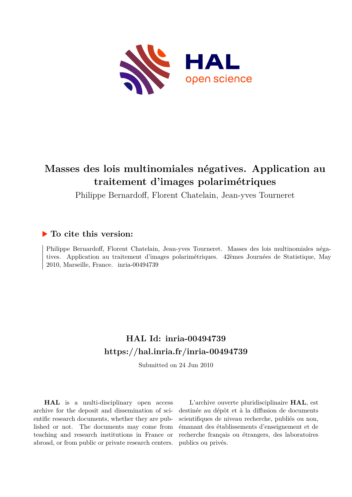

# **Masses des lois multinomiales négatives. Application au traitement d'images polarimétriques**

Philippe Bernardoff, Florent Chatelain, Jean-yves Tourneret

## **To cite this version:**

Philippe Bernardoff, Florent Chatelain, Jean-yves Tourneret. Masses des lois multinomiales négatives. Application au traitement d'images polarimétriques. 42èmes Journées de Statistique, May 2010, Marseille, France. inria-00494739

# **HAL Id: inria-00494739 <https://hal.inria.fr/inria-00494739>**

Submitted on 24 Jun 2010

**HAL** is a multi-disciplinary open access archive for the deposit and dissemination of scientific research documents, whether they are published or not. The documents may come from teaching and research institutions in France or abroad, or from public or private research centers.

L'archive ouverte pluridisciplinaire **HAL**, est destinée au dépôt et à la diffusion de documents scientifiques de niveau recherche, publiés ou non, émanant des établissements d'enseignement et de recherche français ou étrangers, des laboratoires publics ou privés.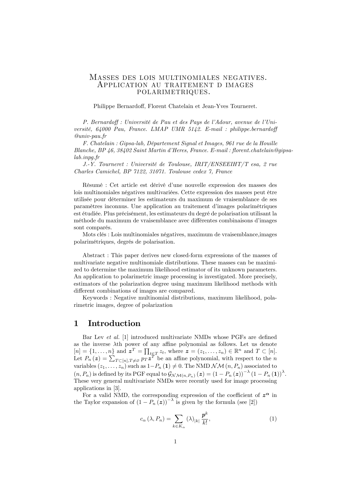#### Masses des lois multinomiales negatives. Application au traitement d images polarimetriques.

Philippe Bernardo§, Florent Chatelain et Jean-Yves Tourneret.

P. Bernardoff : Université de Pau et des Pays de l'Adour, avenue de l'Université,  $64000$  Pau, France. LMAP UMR  $5142$ . E-mail : philippe.bernardoff @univ-pau.fr

F. Chatelain : Gipsa-lab, DÈpartement Signal et Images, 961 rue de la Houille Blanche, BP 46, 38402 Saint Martin d'Heres, France. E-mail : florent.chatelain@gipsalab.inpg.fr

J.-Y. Tourneret : Université de Toulouse, IRIT/ENSEEIHT/T esa, 2 rue Charles Camichel, BP 7122, 31071. Toulouse cedex 7, France

Résumé : Cet article est dérivé d'une nouvelle expression des masses des lois multinomiales négatives multivariées. Cette expression des masses peut être utilisée pour déterminer les estimateurs du maximum de vraisemblance de ses paramËtres inconnus. Une application au traitement díimages polarimÈtriques est étudiée. Plus précisément, les estimateurs du degré de polarisation utilisant la méthode du maximum de vraisemblance avec différentes combinaisons d'images sont comparés.

Mots clés : Lois multinomiales négatives, maximum de vraisemblance, images polarimétriques, degrés de polarisation.

Abstract : This paper derives new closed-form expressions of the masses of multivariate negative multinomiale distributions. These masses can be maximized to determine the maximum likelihood estimator of its unknown parameters. An application to polarimetric image processing is investigated. More precisely, estimators of the polarization degree using maximum likelihood methods with different combinations of images are compared.

Keywords : Negative multinomial distributions, maximum likelihood, polarimetric images, degree of polarization

### 1 Introduction

Bar Lev et al. [1] introduced multivariate NMDs whose PGFs are defined as the inverse  $\lambda$ th power of any affine polynomial as follows. Let us denote  $[n] = \{1, \ldots, n\}$  and  $\boldsymbol{z}^T = \prod_{t \in T} z_t$ , where  $\boldsymbol{z} = (z_1, \ldots, z_n) \in \mathbb{R}^n$  and  $T \subset [n]$ . Let  $P_n(z) = \sum_{T \subset [n], T \neq \emptyset} P_T z^T$  be an affine polynomial, with respect to the n variables  $(z_1, \ldots, z_n)$  such as  $1-P_n(1) \neq 0$ . The NMD  $\mathcal{NM}(n, P_n)$  associated to  $(n, P_n)$  is defined by its PGF equal to  $\mathcal{G}_{\mathcal{NM}(n, P_n)}(z) = (1 - P_n(z))^{-\lambda} (1 - P_n(1))^{\lambda}$ . These very general multivariate NMDs were recently used for image processing applications in [3].

For a valid NMD, the corresponding expression of the coefficient of  $z^{\alpha}$  in the Taylor expansion of  $(1 - P_n(z))^{-\lambda}$  is given by the formula (see [2])

$$
c_{\alpha}\left(\lambda, P_n\right) = \sum_{k \in K_{\alpha}} \left(\lambda\right)_{|k|} \frac{p^k}{k!},\tag{1}
$$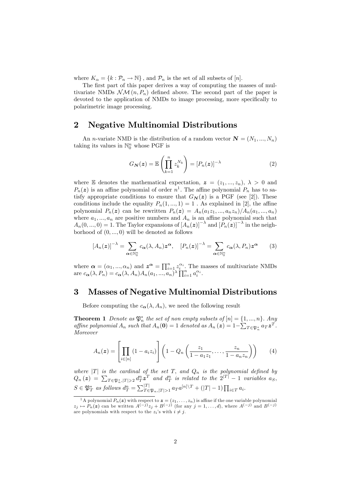where  $K_{\alpha} = \{k : \mathcal{P}_n \to \mathbb{N}\}\,$ , and  $\mathcal{P}_n$  is the set of all subsets of  $[n]$ .

The first part of this paper derives a way of computing the masses of multivariate NMDs  $\mathcal{NM}(n, P_n)$  defined above. The second part of the paper is devoted to the application of NMDs to image processing, more specifically to polarimetric image processing.

## 2 Negative Multinomial Distributions

An *n*-variate NMD is the distribution of a random vector  $\mathbf{N} = (N_1, ..., N_n)$ taking its values in  $\mathbb{N}_0^n$  whose PGF is

$$
G_{\mathbf{N}}(\boldsymbol{z}) = \mathbb{E}\left(\prod_{k=1}^{n} z_k^{N_k}\right) = [P_n(\boldsymbol{z})]^{-\lambda} \tag{2}
$$

where E denotes the mathematical expectation,  $z = (z_1, ..., z_n), \lambda > 0$  and  $P_n(z)$  is an affine polynomial of order  $n^1$ . The affine polynomial  $P_n$  has to satisfy appropriate conditions to ensure that  $G_N(z)$  is a PGF (see [2]). These conditions include the equality  $P_n(1, ..., 1) = 1$ . As explained in [2], the affine polynomial  $P_n(z)$  can be rewritten  $P_n(z) = A_n(a_1z_1, ..., a_nz_n)/A_n(a_1, ..., a_n)$ where  $a_1, ..., a_n$  are positive numbers and  $A_n$  is an affine polynomial such that  $A_n(0,...,0) = 1$ . The Taylor expansions of  $[A_n(z)]^{-\lambda}$  and  $[P_n(z)]^{-\lambda}$  in the neighborhood of  $(0, ..., 0)$  will be denoted as follows

$$
[A_n(z)]^{-\lambda} = \sum_{\alpha \in \mathbb{N}_0^n} c_{\alpha}(\lambda, A_n) z^{\alpha}, \quad [P_n(z)]^{-\lambda} = \sum_{\alpha \in \mathbb{N}_0^n} c_{\alpha}(\lambda, P_n) z^{\alpha} \qquad (3)
$$

where  $\boldsymbol{\alpha} = (\alpha_1, ..., \alpha_n)$  and  $\boldsymbol{z}^{\boldsymbol{\alpha}} = \prod_{i=1}^n z_i^{\alpha_i}$ . The masses of multivariate NMDs are  $c_{\boldsymbol{\alpha}}(\lambda, P_n) = c_{\boldsymbol{\alpha}}(\lambda, A_n) A_n(a_1, ..., a_n)^{\lambda} \prod_{i=1}^n a_i^{\alpha_i}.$ 

### 3 Masses of Negative Multinomial Distributions

Before computing the  $c_{\alpha}(\lambda, A_n)$ , we need the following result

**Theorem 1** Denote as  $\mathfrak{P}_n^*$  the set of non empty subsets of  $[n] = \{1, ..., n\}$ . Any affine polynomial  $A_n$  such that  $A_n(\mathbf{0}) = 1$  denoted as  $A_n(z) = 1 - \sum_{T \in \mathfrak{P}_n^*} a_T z^T$ . Moreover

$$
A_n(z) = \left[ \prod_{i \in [n]} (1 - a_i z_i) \right] \left( 1 - Q_n \left( \frac{z_1}{1 - a_1 z_1}, \dots, \frac{z_n}{1 - a_n z_n} \right) \right) \tag{4}
$$

where  $|T|$  is the cardinal of the set T, and  $Q_n$  is the polynomial defined by  $Q_n(z) = \sum_{T \in \mathfrak{P}_n^*, |T| \geqslant 2} d_T^n z_T^T$  and  $d_T^n$  is related to the  $2^{|T|} - 1$  variables  $a_S$ ,  $S \in \mathfrak{P}_T^*$  as follows  $d_T^n = \sum_{T \in \mathfrak{P}_n, |T| > 1}^{|T|} a_T a^{[n] \setminus T} + (|T| - 1) \prod_{i \in T} a_i$ .

<sup>&</sup>lt;sup>1</sup>A polynomial  $P_n(\boldsymbol{z})$  with respect to  $\boldsymbol{z} = (z_1, \ldots, z_n)$  is affine if the one variable polynomial  $z_j \mapsto P_n(z)$  can be written  $A^{(-j)}z_j + B^{(-j)}$  (for any  $j = 1, ..., d$ ), where  $A^{(-j)}$  and  $B^{(-j)}$ are polynomials with respect to the  $z_i$ 's with  $i \neq j$ .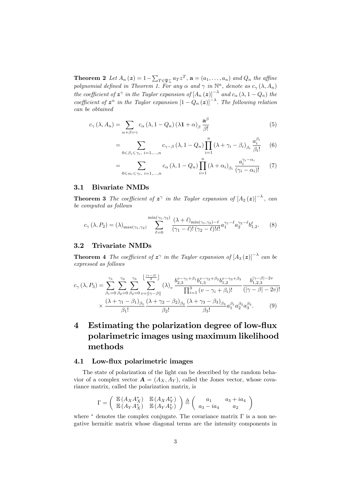**Theorem 2** Let  $A_n(z) = 1 - \sum_{T \in \mathfrak{P}_n^*} a_T z^T$ ,  $\mathbf{a} = (a_1, \ldots, a_n)$  and  $Q_n$  the affine polynomial defined in Theorem 1. For any  $\alpha$  and  $\gamma$  in  $\mathbb{N}^n$ , denote as  $c_{\gamma}(\lambda, A_n)$ the coefficient of  $z^{\gamma}$  in the Taylor expansion of  $[A_n(z)]^{-\lambda}$  and  $c_{\alpha}(\lambda, 1 - Q_n)$  the coefficient of  $z^{\alpha}$  in the Taylor expansion  $\left[1-Q_n(z)\right]^{-\lambda}$ . The following relation can be obtained

$$
c_{\gamma}(\lambda, A_n) = \sum_{\alpha + \beta = \gamma} c_{\alpha}(\lambda, 1 - Q_n) (\lambda \mathbf{1} + \alpha)_{\beta} \frac{\mathbf{a}^{\beta}}{\beta!}
$$
(5)

$$
= \sum_{0 \leq \beta_i \leq \gamma_i, i=1,\dots,n} c_{\gamma-\beta} (\lambda, 1 - Q_n) \prod_{i=1}^n (\lambda + \gamma_i - \beta_i)_{\beta_i} \frac{a_i^{\beta_i}}{\beta_i!}
$$
 (6)

$$
= \sum_{0 \leq \alpha_i \leq \gamma_i, i=1,\dots,n} c_{\alpha} (\lambda, 1 - Q_n) \prod_{i=1}^n (\lambda + \alpha_i)_{\beta_i} \frac{a_i^{\gamma_i - \alpha_i}}{(\gamma_i - \alpha_i)!} \tag{7}
$$

#### 3.1 Bivariate NMDs

**Theorem 3** The coefficient of  $z^{\gamma}$  in the Taylor expansion of  $[A_2(z)]^{-\lambda}$ , can be computed as follows

$$
c_{\gamma}(\lambda, P_2) = (\lambda)_{\max(\gamma_1, \gamma_2)} \sum_{\ell=0}^{\min(\gamma_1, \gamma_2)} \frac{(\lambda + \ell)_{\min(\gamma_1, \gamma_2) - \ell}}{(\gamma_1 - \ell)! (\gamma_2 - \ell)! \ell!} a_1^{\gamma_1 - \ell} a_2^{\gamma_2 - \ell} b_{1,2}^{\ell}.
$$
 (8)

#### 3.2 Trivariate NMDs

**Theorem 4** The coefficient of  $z^{\gamma}$  in the Taylor expansion of  $[A_3(z)]^{-\lambda}$  can be expressed as follows

$$
c_{\gamma}(\lambda, P_3) = \sum_{\beta_1=0}^{\gamma_1} \sum_{\beta_2=0}^{\gamma_2} \sum_{\beta_3=0}^{\gamma_3} \sum_{v=||\gamma-\beta||}^{|\frac{|\gamma-\beta|}{2}} (\lambda)_v \frac{b_{2,3}^{v-\gamma_1+\beta_1} b_{1,3}^{v-\gamma_2+\beta_2} b_{1,2}^{v-\gamma_3+\beta_3}}{\prod_{i=1}^3 (v-\gamma_i+\beta_i)!} \frac{b_{1,2,3}^{|\gamma-\beta|-2v}}{(|\gamma-\beta|-2v)!} \times \frac{(\lambda+\gamma_1-\beta_1)_{\beta_1}}{\beta_1!} \frac{(\lambda+\gamma_2-\beta_2)_{\beta_2}}{\beta_2!} \frac{(\lambda+\gamma_3-\beta_3)_{\beta_3}}{\beta_3!} a_1^{\beta_1} a_2^{\beta_2} a_3^{\beta_3}.
$$
 (9)

## 4 Estimating the polarization degree of low-flux polarimetric images using maximum likelihood methods

#### 4.1 Low-flux polarimetric images

The state of polarization of the light can be described by the random behavior of a complex vector  $\mathbf{A} = (A_X, A_Y)$ , called the Jones vector, whose covariance matrix, called the polarization matrix, is

$$
\Gamma = \left( \begin{array}{cc} \mathbb{E}\left(A_X A_X^*\right) & \mathbb{E}\left(A_X A_Y^*\right) \\ \mathbb{E}\left(A_Y A_X^*\right) & \mathbb{E}\left(A_Y A_Y^*\right) \end{array} \right) \triangleq \left( \begin{array}{cc} a_1 & a_3 + i a_4 \\ a_3 - i a_4 & a_2 \end{array} \right)
$$

where  $*$  denotes the complex conjugate. The covariance matrix  $\Gamma$  is a non negative hermitic matrix whose diagonal terms are the intensity components in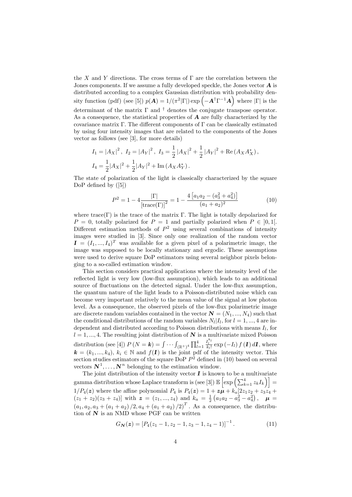the X and Y directions. The cross terms of  $\Gamma$  are the correlation between the Jones components. If we assume a fully developed speckle, the Jones vector  $\mathbf A$  is distributed according to a complex Gaussian distribution with probability density function (pdf) (see [5])  $p(\mathbf{A}) = 1/(\pi^2 |\Gamma|) \exp \left(-\mathbf{A}^\dagger \Gamma^{-1} \mathbf{A}\right)$  where  $|\Gamma|$  is the determinant of the matrix  $\Gamma$  and  $\dagger$  denotes the conjugate transpose operator. As a consequence, the statistical properties of  $\bf{A}$  are fully characterized by the covariance matrix  $\Gamma$ . The different components of  $\Gamma$  can be classically estimated by using four intensity images that are related to the components of the Jones vector as follows (see [3], for more details)

$$
I_1 = |A_X|^2, I_2 = |A_Y|^2, I_3 = \frac{1}{2} |A_X|^2 + \frac{1}{2} |A_Y|^2 + \text{Re}(A_X A_X^*),
$$
  

$$
I_4 = \frac{1}{2} |A_X|^2 + \frac{1}{2} |A_Y|^2 + \text{Im}(A_X A_Y^*).
$$

The state of polarization of the light is classically characterized by the square DoP defined by  $([5])$ 

$$
P^{2} = 1 - 4 \frac{|\Gamma|}{\left[\text{trace}(\Gamma)\right]^{2}} = 1 - \frac{4\left[a_{1}a_{2} - (a_{3}^{2} + a_{4}^{2})\right]}{(a_{1} + a_{2})^{2}}
$$
(10)

where trace( $\Gamma$ ) is the trace of the matrix  $\Gamma$ . The light is totally depolarized for  $P = 0$ , totally polarized for  $P = 1$  and partially polarized when  $P \in [0, 1]$ . Different estimation methods of  $P^2$  using several combinations of intensity images were studied in [3]. Since only one realization of the random vector  $\mathbf{I} = (I_1, ..., I_4)^T$  was available for a given pixel of a polarimetric image, the image was supposed to be locally stationary and ergodic. These assumptions were used to derive square DoP estimators using several neighbor pixels belonging to a so-called estimation window.

This section considers practical applications where the intensity level of the reflected light is very low (low-flux assumption), which leads to an additional source of fluctuations on the detected signal. Under the low-flux assumption, the quantum nature of the light leads to a Poisson-distributed noise which can become very important relatively to the mean value of the signal at low photon level. As a consequence, the observed pixels of the low-flux polarimetric image are discrete random variables contained in the vector  $\mathbf{N} = (N_1, ..., N_4)$  such that the conditional distributions of the random variables  $N_l | I_l$ , for  $l = 1, ..., 4$  are independent and distributed according to Poisson distributions with means  $I_l$ , for  $l = 1, ..., 4$ . The resulting joint distribution of N is a multivariate mixed Poisson distribution (see [4])  $P(N = k) = \int \cdots \int_{(\mathbb{R}^+)^4} \prod_{l=1}^4$  $\frac{I_l^{k_l}}{k_l!} \exp\left(-I_l\right) f\left(\mathbf{I}\right) d\mathbf{I}$ , where  $\mathbf{k} = (k_1, ..., k_4), k_i \in \mathbb{N}$  and  $f(\mathbf{I})$  is the joint pdf of the intensity vector. This section studies estimators of the square DoP  $P^2$  defined in (10) based on several vectors  $\mathbf{N}^1, \ldots, \mathbf{N}^n$  belonging to the estimation window.

The joint distribution of the intensity vector  $I$  is known to be a multivariate gamma distribution whose Laplace transform is (see [3])  $\mathbb{E}\left[\exp\left(\sum_{k=1}^4 z_k I_k\right)\right] =$  $1/P_4(z)$  where the affine polynomial  $P_4$  is  $P_4(z) = 1 + z\mu + k_a[2z_1z_2 + z_3z_4 +$  $(z_1 + z_2)(z_3 + z_4)$  with  $\boldsymbol{z} = (z_1, ..., z_4)$  and  $k_a = \frac{1}{2}(a_1a_2 - a_3^2 - a_4^2)$ ,  $\boldsymbol{\mu} =$  $(a_1, a_2, a_3 + (a_1 + a_2)/2, a_4 + (a_1 + a_2)/2)^T$ . As a consequence, the distribution of  $N$  is an NMD whose PGF can be written

$$
G_N(z) = [P_4(z_1 - 1, z_2 - 1, z_3 - 1, z_4 - 1)]^{-1}.
$$
 (11)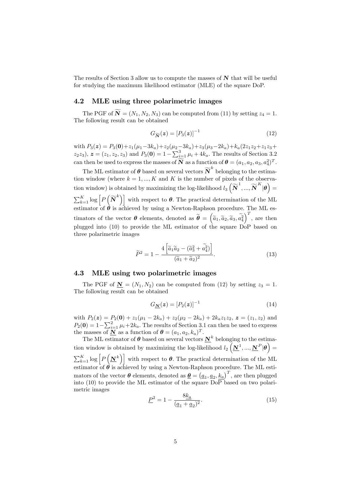The results of Section 3 allow us to compute the masses of  $N$  that will be useful for studying the maximum likelihood estimator (MLE) of the square DoP.

#### 4.2 MLE using three polarimetric images

The PGF of  $\widetilde{\mathbf{N}} = (N_1, N_2, N_3)$  can be computed from (11) by setting  $z_4 = 1$ . The following result can be obtained

$$
G_{\widetilde{\mathbf{N}}}(\boldsymbol{z}) = [P_3(\boldsymbol{z})]^{-1} \tag{12}
$$

with  $P_3(z) = P_3(0) + z_1(\mu_1 - 3k_a) + z_2(\mu_2 - 3k_a) + z_3(\mu_3 - 2k_a) + k_a(2z_1z_2 + z_1z_3 +$  $(z_2 z_3)$ ,  $\boldsymbol{z} = (z_1, z_2, z_3)$  and  $P_3(\boldsymbol{0}) = 1 - \sum_{i=1}^3 \mu_i + 4k_a$ . The results of Section 3.2 can then be used to express the masses of  $\overline{N}$  as a function of  $\theta = (a_1, a_2, a_3, a_4^2)^T$ .

The ML estimator of  $\boldsymbol{\theta}$  based on several vectors  $\widetilde{\boldsymbol{N}}^k$  belonging to the estimation window (where  $k = 1, ..., K$  and K is the number of pixels of the observation window) is obtained by maximizing the log-likelihood  $l_3\left(\widetilde{\boldsymbol{N}}^1,...,\widetilde{\boldsymbol{N}}^K|\boldsymbol{\theta}\right)$  =  $\sum_{k=1}^{K} \log \left[ P\left(\widetilde{\mathbf{N}}^{k}\right) \right]$  with respect to  $\boldsymbol{\theta}$ . The practical determination of the ML estimator of  $\theta$  is achieved by using a Newton-Raphson procedure. The ML estimators of the vector  $\boldsymbol{\theta}$  elements, denoted as  $\tilde{\boldsymbol{\theta}} = (\tilde{a}_1, \tilde{a}_2, \tilde{a}_3, \tilde{a}_4^2)^T$ , are then plugged into (10) to provide the ML estimator of the square DoP based on three polarimetric images

$$
\widetilde{P}^2 = 1 - \frac{4\left[\widetilde{a}_1\widetilde{a}_2 - (\widetilde{a}_3^2 + \widetilde{a}_4^2)\right]}{(\widetilde{a}_1 + \widetilde{a}_2)^2}.
$$
\n(13)

#### 4.3 MLE using two polarimetric images

The PGF of  $N = (N_1, N_2)$  can be computed from (12) by setting  $z_3 = 1$ . The following result can be obtained

$$
G_{\mathbf{\mathbf{N}}}(\mathbf{z}) = [P_2(\mathbf{z})]^{-1} \tag{14}
$$

with  $P_2(z) = P_2(0) + z_1(\mu_1 - 2k_a) + z_2(\mu_2 - 2k_a) + 2k_a z_1 z_2, z = (z_1, z_2)$  and  $P_2(\mathbf{0}) = 1 - \sum_{i=1}^2 \mu_i + 2k_a$ . The results of Section 3.1 can then be used to express the masses of  $\underline{\mathbf{N}}$  as a function of  $\boldsymbol{\theta} = (a_1, a_2, k_a)^T$ .

The ML estimator of  $\theta$  based on several vectors  $N^k$  belonging to the estimation window is obtained by maximizing the log-likelihood  $l_2\left(\underline{\mathbf{N}}^1,\ldots,\underline{\mathbf{N}}^P|\boldsymbol{\theta}\right)$  $\sum_{k=1}^{K} \log \left[ P\left(\mathbf{\underline{N}}^k\right) \right]$  with respect to  $\boldsymbol{\theta}$ . The practical determination of the ML estimator of  $\theta$  is achieved by using a Newton-Raphson procedure. The ML estimators of the vector  $\boldsymbol{\theta}$  elements, denoted as  $\underline{\boldsymbol{\theta}} = (\underline{a}_1, \underline{a}_2, \underline{k}_a)^T$ , are then plugged into (10) to provide the ML estimator of the square DoP based on two polarimetric images

$$
\underline{P}^2 = 1 - \frac{8k_a}{(\underline{a}_1 + \underline{a}_2)^2}.\tag{15}
$$